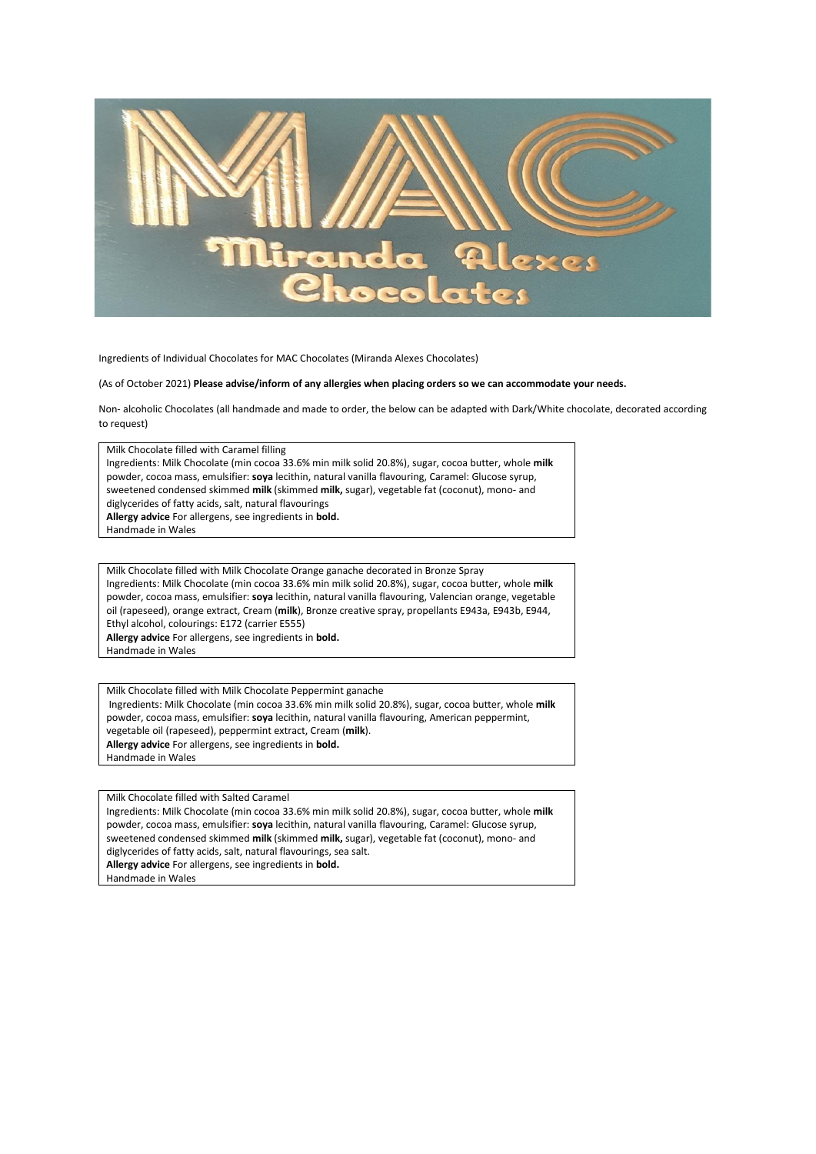

Ingredients of Individual Chocolates for MAC Chocolates (Miranda Alexes Chocolates)

(As of October 2021) **Please advise/inform of any allergies when placing orders so we can accommodate your needs.** 

Non- alcoholic Chocolates (all handmade and made to order, the below can be adapted with Dark/White chocolate, decorated according to request)

Milk Chocolate filled with Caramel filling

Ingredients: Milk Chocolate (min cocoa 33.6% min milk solid 20.8%), sugar, cocoa butter, whole **milk**  powder, cocoa mass, emulsifier: **soya** lecithin, natural vanilla flavouring, Caramel: Glucose syrup, sweetened condensed skimmed **milk** (skimmed **milk,** sugar), vegetable fat (coconut), mono- and diglycerides of fatty acids, salt, natural flavourings

**Allergy advice** For allergens, see ingredients in **bold.**

Handmade in Wales

Milk Chocolate filled with Milk Chocolate Orange ganache decorated in Bronze Spray Ingredients: Milk Chocolate (min cocoa 33.6% min milk solid 20.8%), sugar, cocoa butter, whole **milk**  powder, cocoa mass, emulsifier: **soya** lecithin, natural vanilla flavouring, Valencian orange, vegetable oil (rapeseed), orange extract, Cream (**milk**), Bronze creative spray, propellants E943a, E943b, E944, Ethyl alcohol, colourings: E172 (carrier E555)

**Allergy advice** For allergens, see ingredients in **bold.**

Handmade in Wales

Milk Chocolate filled with Milk Chocolate Peppermint ganache Ingredients: Milk Chocolate (min cocoa 33.6% min milk solid 20.8%), sugar, cocoa butter, whole **milk**  powder, cocoa mass, emulsifier: **soya** lecithin, natural vanilla flavouring, American peppermint, vegetable oil (rapeseed), peppermint extract, Cream (**milk**). **Allergy advice** For allergens, see ingredients in **bold.** Handmade in Wales

Milk Chocolate filled with Salted Caramel

Ingredients: Milk Chocolate (min cocoa 33.6% min milk solid 20.8%), sugar, cocoa butter, whole **milk**  powder, cocoa mass, emulsifier: **soya** lecithin, natural vanilla flavouring, Caramel: Glucose syrup, sweetened condensed skimmed **milk** (skimmed **milk,** sugar), vegetable fat (coconut), mono- and diglycerides of fatty acids, salt, natural flavourings, sea salt. **Allergy advice** For allergens, see ingredients in **bold.**

Handmade in Wales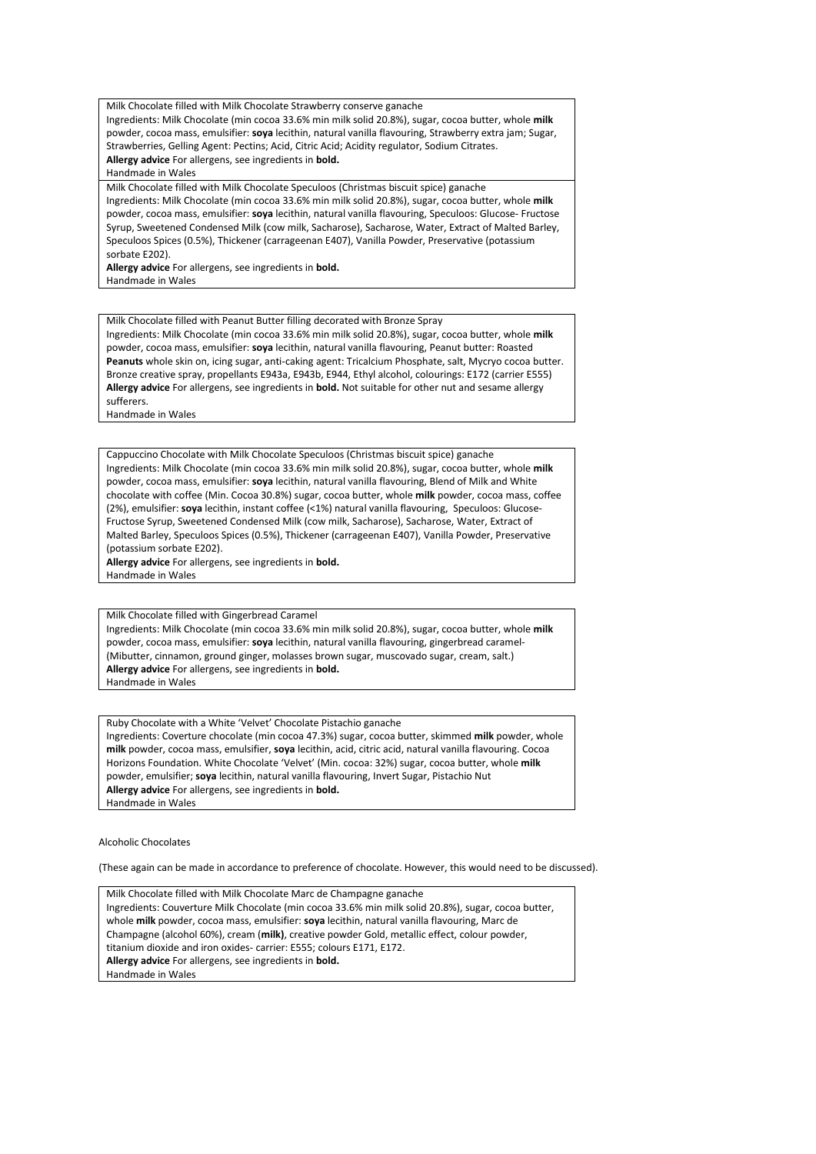Milk Chocolate filled with Milk Chocolate Strawberry conserve ganache Ingredients: Milk Chocolate (min cocoa 33.6% min milk solid 20.8%), sugar, cocoa butter, whole **milk**  powder, cocoa mass, emulsifier: **soya** lecithin, natural vanilla flavouring, Strawberry extra jam; Sugar, Strawberries, Gelling Agent: Pectins; Acid, Citric Acid; Acidity regulator, Sodium Citrates.

**Allergy advice** For allergens, see ingredients in **bold.**

Handmade in Wales

Milk Chocolate filled with Milk Chocolate Speculoos (Christmas biscuit spice) ganache Ingredients: Milk Chocolate (min cocoa 33.6% min milk solid 20.8%), sugar, cocoa butter, whole **milk**  powder, cocoa mass, emulsifier: **soya** lecithin, natural vanilla flavouring, Speculoos: Glucose- Fructose Syrup, Sweetened Condensed Milk (cow milk, Sacharose), Sacharose, Water, Extract of Malted Barley, Speculoos Spices (0.5%), Thickener (carrageenan E407), Vanilla Powder, Preservative (potassium sorbate E202).

**Allergy advice** For allergens, see ingredients in **bold.** Handmade in Wales

Milk Chocolate filled with Peanut Butter filling decorated with Bronze Spray Ingredients: Milk Chocolate (min cocoa 33.6% min milk solid 20.8%), sugar, cocoa butter, whole **milk**  powder, cocoa mass, emulsifier: **soya** lecithin, natural vanilla flavouring, Peanut butter: Roasted **Peanuts** whole skin on, icing sugar, anti-caking agent: Tricalcium Phosphate, salt, Mycryo cocoa butter. Bronze creative spray, propellants E943a, E943b, E944, Ethyl alcohol, colourings: E172 (carrier E555) **Allergy advice** For allergens, see ingredients in **bold.** Not suitable for other nut and sesame allergy sufferers. Handmade in Wales

Cappuccino Chocolate with Milk Chocolate Speculoos (Christmas biscuit spice) ganache Ingredients: Milk Chocolate (min cocoa 33.6% min milk solid 20.8%), sugar, cocoa butter, whole **milk**  powder, cocoa mass, emulsifier: **soya** lecithin, natural vanilla flavouring, Blend of Milk and White chocolate with coffee (Min. Cocoa 30.8%) sugar, cocoa butter, whole **milk** powder, cocoa mass, coffee (2%), emulsifier: **soya** lecithin, instant coffee (<1%) natural vanilla flavouring, Speculoos: Glucose-Fructose Syrup, Sweetened Condensed Milk (cow milk, Sacharose), Sacharose, Water, Extract of Malted Barley, Speculoos Spices (0.5%), Thickener (carrageenan E407), Vanilla Powder, Preservative (potassium sorbate E202).

**Allergy advice** For allergens, see ingredients in **bold.** Handmade in Wales

Milk Chocolate filled with Gingerbread Caramel Ingredients: Milk Chocolate (min cocoa 33.6% min milk solid 20.8%), sugar, cocoa butter, whole **milk**  powder, cocoa mass, emulsifier: **soya** lecithin, natural vanilla flavouring, gingerbread caramel- (Mibutter, cinnamon, ground ginger, molasses brown sugar, muscovado sugar, cream, salt.) **Allergy advice** For allergens, see ingredients in **bold.** Handmade in Wales

Ruby Chocolate with a White 'Velvet' Chocolate Pistachio ganache Ingredients: Coverture chocolate (min cocoa 47.3%) sugar, cocoa butter, skimmed **milk** powder, whole **milk** powder, cocoa mass, emulsifier, **soya** lecithin, acid, citric acid, natural vanilla flavouring. Cocoa Horizons Foundation. White Chocolate 'Velvet' (Min. cocoa: 32%) sugar, cocoa butter, whole **milk**  powder, emulsifier; **soya** lecithin, natural vanilla flavouring, Invert Sugar, Pistachio Nut **Allergy advice** For allergens, see ingredients in **bold.** Handmade in Wales

Alcoholic Chocolates

(These again can be made in accordance to preference of chocolate. However, this would need to be discussed).

Milk Chocolate filled with Milk Chocolate Marc de Champagne ganache Ingredients: Couverture Milk Chocolate (min cocoa 33.6% min milk solid 20.8%), sugar, cocoa butter, whole **milk** powder, cocoa mass, emulsifier: **soya** lecithin, natural vanilla flavouring, Marc de Champagne (alcohol 60%), cream (**milk)**, creative powder Gold, metallic effect, colour powder, titanium dioxide and iron oxides- carrier: E555; colours E171, E172. **Allergy advice** For allergens, see ingredients in **bold.** Handmade in Wales